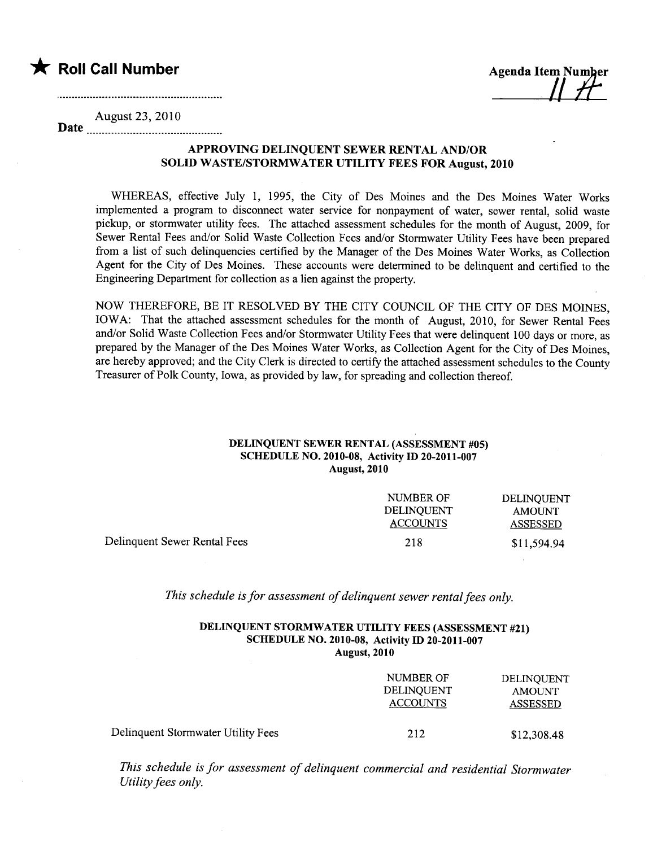

 $\mu$ 

Date August 23,2010

## APPROVING DELINQUENT SEWER RENTAL AND/OR SOLID WASTE/STORMWATER UTILITY FEES FOR August, 2010

WHEREAS, effective July 1, 1995, the City of Des Moines and the Des Moines Water Works implemented a program to disconnect water service for nonpayment of water, sewer rental, solid waste pickup, or stormwater utility fees. The attached assessment schedules for the month of August, 2009, for Sewer Rental Fees and/or Solid Waste Collection Fees and/or Stormwater Utility Fees have been prepared from a list of such delinquencies certified by the Manager of the Des Moines Water Works, as Collection Agent for the City of Des Moines. These accounts were determined to be delinquent and certified to the Engineering Department for collection as a lien against the propert.

NOW THEREFORE, BE IT RESOLVED BY THE CITY COUNCIL OF THE CITY OF DES MOINES, IOWA: That the attached assessment schedules for the month of August, 2010, for Sewer Rental Fees and/or Solid Waste Collection Fees and/or Stormwater Utility Fees that were delinquent 100 days or more, as prepared by the Manager of the Des Moines Water Works, as Collection Agent for the City of Des Moines, are hereby approved; and the City Clerk is directed to certify the attached assessment schedules to the County Treasurer of Polk County, Iowa, as provided by law, for spreading and collection thereof.

## DELINQUENT SEWER RENTAL (ASSESSMENT #05) SCHEDULE NO. 2010-08, Activity ID 20-2011-007 August, 2010

|                              | NUMBER OF<br>DELINOUENT<br><b>ACCOUNTS</b> | DELINOUENT<br><b>AMOUNT</b><br>ASSESSED |
|------------------------------|--------------------------------------------|-----------------------------------------|
| Delinquent Sewer Rental Fees | 218                                        | \$11,594.94                             |

This schedule is for assessment of delinquent sewer rental fees only.

## DELINQUENT STORMWATER UTILITY FEES (ASSESSMENT #21) SCHEDULE NO. 2010-08, Activity ID 20-2011-007 August, 2010

|                                    | NUMBER OF<br><b>DELINOUENT</b><br><b>ACCOUNTS</b> | <b>DELINQUENT</b><br><b>AMOUNT</b><br><b>ASSESSED</b> |
|------------------------------------|---------------------------------------------------|-------------------------------------------------------|
| Delinquent Stormwater Utility Fees | 212                                               | \$12,308.48                                           |

This schedule is for assessment of delinquent commercial and residential Stormwater Utility fees only.